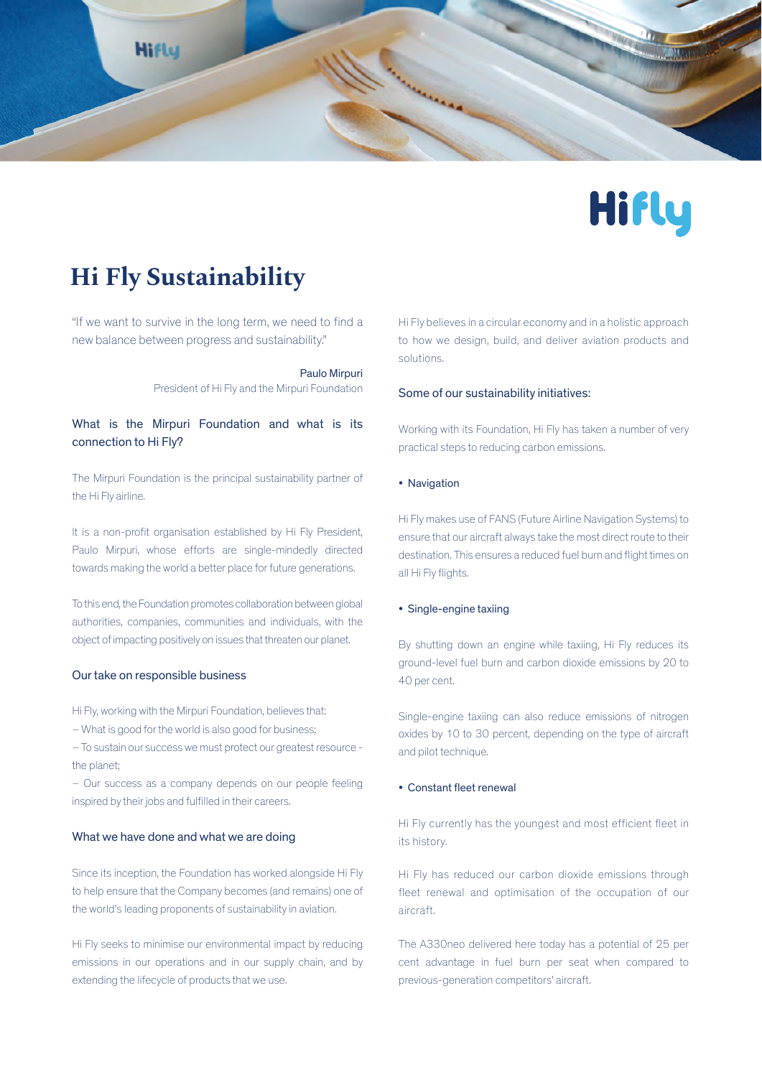



# **Hi Fly Sustainability**

"If we want to survive in the long term, we need to find a new balance between progress and sustainability."

> Paulo Mirpuri President of Hi Fly and the Mirpuri Foundation

# What is the Mirpuri Foundation and what is its connection to Hi Fly?

The Mirpuri Foundation is the principal sustainability partner of the Hi Fly airline.

It is a non-profit organisation established by Hi Fly President, Paulo Mirpuri, whose efforts are single-mindedly directed towards making the world a better place for future generations.

To this end, the Foundation promotes collaboration between global authorities, companies, communities and individuals, with the object of impacting positively on issues that threaten our planet.

#### Our take on responsible business

Hi Fly, working with the Mirpuri Foundation, believes that:

– What is good for the world is also good for business;

– To sustain our success we must protect our greatest resource the planet;

– Our success as a company depends on our people feeling inspired by their jobs and fulfilled in their careers.

## What we have done and what we are doing

Since its inception, the Foundation has worked alongside Hi Fly to help ensure that the Company becomes (and remains) one of the world's leading proponents of sustainability in aviation.

Hi Fly seeks to minimise our environmental impact by reducing emissions in our operations and in our supply chain, and by extending the lifecycle of products that we use.

Hi Fly believes in a circular economy and in a holistic approach to how we design, build, and deliver aviation products and solutions.

#### Some of our sustainability initiatives:

Working with its Foundation, Hi Fly has taken a number of very practical steps to reducing carbon emissions.

#### • Navigation

Hi Fly makes use of FANS (Future Airline Navigation Systems) to ensure that our aircraft always take the most direct route to their destination. This ensures a reduced fuel burn and flight times on all Hi Fly flights.

#### • Single-engine taxiing

By shutting down an engine while taxiing, Hi Fly reduces its ground-level fuel burn and carbon dioxide emissions by 20 to 40 per cent.

Single-engine taxiing can also reduce emissions of nitrogen oxides by 10 to 30 percent, depending on the type of aircraft and pilot technique.

#### • Constant fleet renewal

Hi Fly currently has the youngest and most efficient fleet in its history.

Hi Fly has reduced our carbon dioxide emissions through fleet renewal and optimisation of the occupation of our aircraft.

The A330neo delivered here today has a potential of 25 per cent advantage in fuel burn per seat when compared to previous-generation competitors' aircraft.